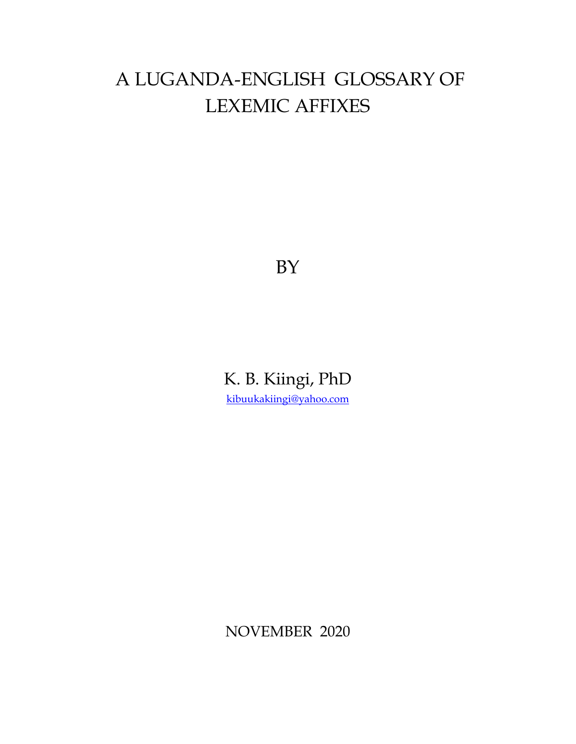# A LUGANDA-ENGLISH GLOSSARY OF LEXEMIC AFFIXES

BY

K. B. Kiingi, PhD [kibuukakiingi@yahoo.com](mailto:kibuukakiingi@yahoo.com)

NOVEMBER 2020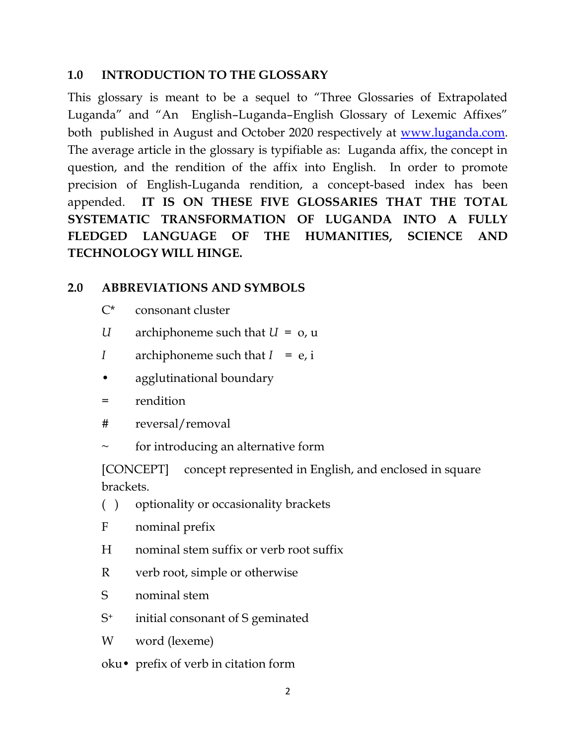### **1.0 INTRODUCTION TO THE GLOSSARY**

This glossary is meant to be a sequel to "Three Glossaries of Extrapolated Luganda" and "An English–Luganda–English Glossary of Lexemic Affixes" both published in August and October 2020 respectively at [www.luganda.com.](http://www.luganda.com/) The average article in the glossary is typifiable as: Luganda affix, the concept in question, and the rendition of the affix into English. In order to promote precision of English-Luganda rendition, a concept-based index has been appended. **IT IS ON THESE FIVE GLOSSARIES THAT THE TOTAL SYSTEMATIC TRANSFORMATION OF LUGANDA INTO A FULLY FLEDGED LANGUAGE OF THE HUMANITIES, SCIENCE AND TECHNOLOGY WILL HINGE.**

## **2.0 ABBREVIATIONS AND SYMBOLS**

- C\* consonant cluster
- *U* archiphoneme such that *U* = o, u
- *I* archiphoneme such that *I* = e, i
- agglutinational boundary
- = rendition
- # reversal/removal
- for introducing an alternative form

[CONCEPT] concept represented in English, and enclosed in square brackets.

- ( ) optionality or occasionality brackets
- F nominal prefix
- H nominal stem suffix or verb root suffix
- R verb root, simple or otherwise
- S nominal stem
- S<sup>+</sup> initial consonant of S geminated
- W word (lexeme)
- oku• prefix of verb in citation form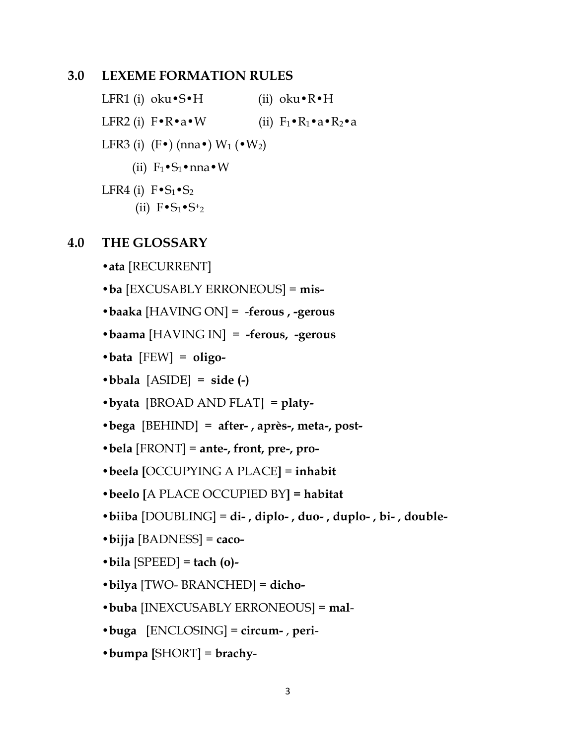#### **3.0 LEXEME FORMATION RULES**

LFR1 (i) oku•S•H (ii) oku•R•H LFR2 (i)  $\mathbf{F} \cdot \mathbf{R} \cdot \mathbf{a} \cdot \mathbf{W}$  (ii)  $\mathbf{F}_1 \cdot \mathbf{R}_1 \cdot \mathbf{a} \cdot \mathbf{R}_2 \cdot \mathbf{a}$ LFR3 (i)  $(F\bullet)$  (nna $\bullet$ ) W<sub>1</sub> ( $\bullet$  W<sub>2</sub>) (ii)  $F_1 \cdot S_1 \cdot n$  nna  $\cdot W$ LFR4 (i)  $F \cdot S_1 \cdot S_2$ (ii)  $F \cdot S_1 \cdot S_2$ 

#### **4.0 THE GLOSSARY**

**•ata** [RECURRENT]

**•ba** [EXCUSABLY ERRONEOUS] = **mis-**

**•baaka** [HAVING ON] = -**ferous , -gerous**

- **•baama** [HAVING IN] = **-ferous, -gerous**
- **•bata** [FEW] = **oligo-**
- $\bullet$ **bbala** [ASIDE] = side (-)
- **•byata** [BROAD AND FLAT] = **platy-**
- **•bega** [BEHIND] = **after- , après-, meta-, post-**

**•bela** [FRONT] = **ante-, front, pre-, pro-**

- **•beela [**OCCUPYING A PLACE**]** = **inhabit**
- **•beelo [**A PLACE OCCUPIED BY**] = habitat**
- **•biiba** [DOUBLING] = **di- , diplo- , duo- , duplo- , bi- , double-**
- **•bijja** [BADNESS] = **caco-**
- **•bila** [SPEED] = **tach (o)-**
- **•bilya** [TWO- BRANCHED] = **dicho-**
- **•buba** [INEXCUSABLY ERRONEOUS] = **mal**-
- **•buga** [ENCLOSING] = **circum-** , **peri**-
- **•bumpa [**SHORT] = **brachy**-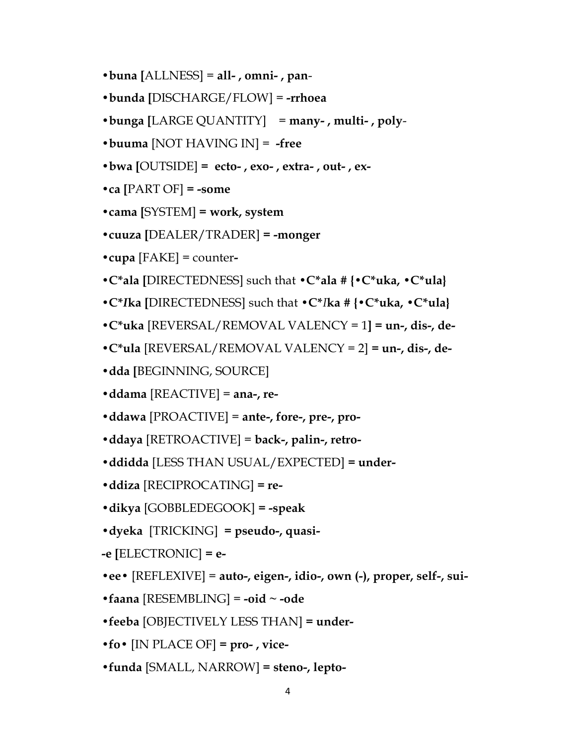- **•buna [**ALLNESS] = **all- , omni- , pan**-
- **•bunda [**DISCHARGE/FLOW] = **-rrhoea**
- **•bunga [**LARGE QUANTITY] = **many- , multi- , poly**-
- **•buuma** [NOT HAVING IN] = **-free**
- **•bwa [**OUTSIDE] **= ecto- , exo- , extra- , out- , ex-**
- **•ca [**PART OF] **= -some**
- **•cama [**SYSTEM] **= work, system**
- **•cuuza [**DEALER/TRADER] **= -monger**
- **•cupa** [FAKE] = counter**-**
- **•C\*ala [**DIRECTEDNESS] such that **•C\*ala # {•C\*uka, •C\*ula}**
- **•C\****I***ka [**DIRECTEDNESS] such that **•C\****I***ka # {•C\*uka, •C\*ula}**
- **•C\*uka** [REVERSAL/REMOVAL VALENCY = 1**] = un-, dis-, de-**
- **•C\*ula** [REVERSAL/REMOVAL VALENCY = 2] **= un-, dis-, de-**
- **•dda [**BEGINNING, SOURCE]
- **•ddama** [REACTIVE] = **ana-, re-**
- **•ddawa** [PROACTIVE] = **ante-, fore-, pre-, pro-**
- **•ddaya** [RETROACTIVE] = **back-, palin-, retro-**
- **•ddidda** [LESS THAN USUAL/EXPECTED] **= under-**
- **•ddiza** [RECIPROCATING] **= re-**
- **•dikya** [GOBBLEDEGOOK] **= -speak**
- **•dyeka** [TRICKING] **= pseudo-, quasi-**
- **-e [**ELECTRONIC] **= e-**
- **•ee•** [REFLEXIVE] = **auto-, eigen-, idio-, own (-), proper, self-, sui-**
- **•faana** [RESEMBLING] = **-oid ~ -ode**
- **•feeba** [OBJECTIVELY LESS THAN] **= under-**
- **•fo•** [IN PLACE OF] **= pro- , vice-**
- **•funda** [SMALL, NARROW] **= steno-, lepto-**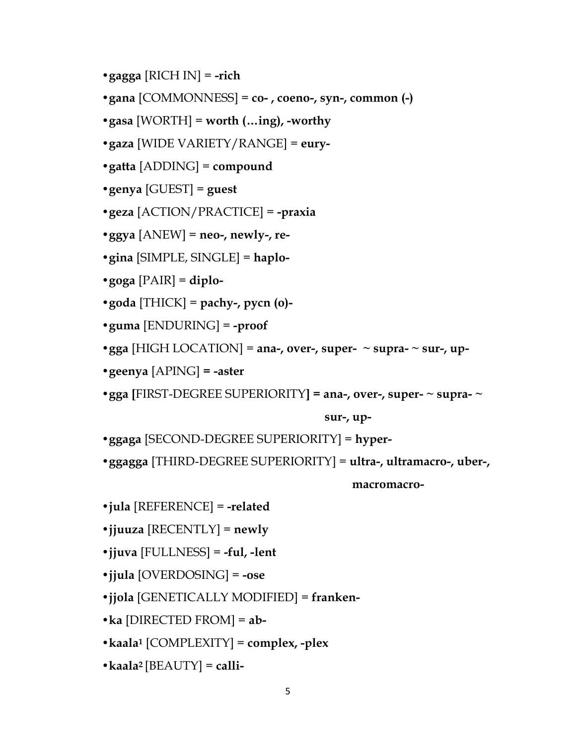- **•gagga** [RICH IN] = **-rich**
- **•gana** [COMMONNESS] = **co- , coeno-, syn-, common (-)**
- **•gasa** [WORTH] = **worth (…ing), -worthy**
- **•gaza** [WIDE VARIETY/RANGE] = **eury-**
- **•gatta** [ADDING] = **compound**
- **•genya** [GUEST] = **guest**
- **•geza** [ACTION/PRACTICE] = **-praxia**
- **•ggya** [ANEW] = **neo-, newly-, re-**
- **•gina** [SIMPLE, SINGLE] = **haplo-**
- **•goga** [PAIR] = **diplo-**
- **•goda** [THICK] = **pachy-, pycn (o)-**
- **•guma** [ENDURING] = **-proof**
- **•gga** [HIGH LOCATION] = **ana-, over-, super- ~ supra- ~ sur-, up-**
- **•geenya** [APING] **= -aster**
- **•gga [**FIRST-DEGREE SUPERIORITY**] = ana-, over-, super- ~ supra- ~**

 **sur-, up-**

- **•ggaga** [SECOND-DEGREE SUPERIORITY] = **hyper-**
- **•ggagga** [THIRD-DEGREE SUPERIORITY] = **ultra-, ultramacro-, uber-,**

 **macromacro-**

- **•jula** [REFERENCE] = **-related**
- **•jjuuza** [RECENTLY] = **newly**
- **•jjuva** [FULLNESS] = **-ful, -lent**
- **•jjula** [OVERDOSING] = **-ose**
- **•jjola** [GENETICALLY MODIFIED] = **franken-**
- **•ka** [DIRECTED FROM] = **ab-**
- **•kaala<sup>1</sup>** [COMPLEXITY] = **complex, -plex**
- **•kaala2** [BEAUTY] = **calli-**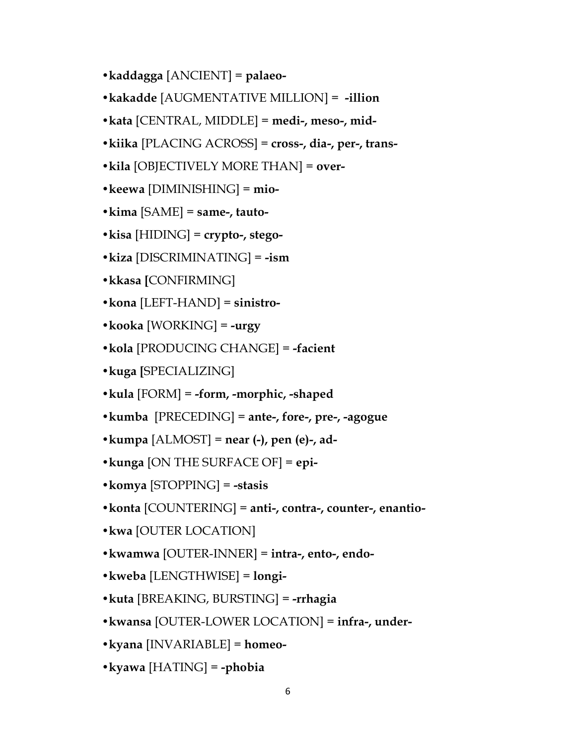- **•kaddagga** [ANCIENT] = **palaeo-**
- **•kakadde** [AUGMENTATIVE MILLION] = **-illion**
- **•kata** [CENTRAL, MIDDLE] = **medi-, meso-, mid-**
- **•kiika** [PLACING ACROSS] = **cross-, dia-, per-, trans-**
- **•kila** [OBJECTIVELY MORE THAN] = **over-**
- **•keewa** [DIMINISHING] = **mio-**
- **•kima** [SAME] = **same-, tauto-**
- **•kisa** [HIDING] = **crypto-, stego-**
- **•kiza** [DISCRIMINATING] = **-ism**
- **•kkasa [**CONFIRMING]
- **•kona** [LEFT-HAND] = **sinistro-**
- **•kooka** [WORKING] = **-urgy**
- **•kola** [PRODUCING CHANGE] = **-facient**
- **•kuga [**SPECIALIZING]
- **•kula** [FORM] = **-form, -morphic, -shaped**
- **•kumba** [PRECEDING] = **ante-, fore-, pre-, -agogue**
- **•kumpa** [ALMOST] = **near (-), pen (e)-, ad-**
- **•kunga** [ON THE SURFACE OF] = **epi-**
- **•komya** [STOPPING] = **-stasis**
- **•konta** [COUNTERING] = **anti-, contra-, counter-, enantio-**
- **•kwa** [OUTER LOCATION]
- **•kwamwa** [OUTER-INNER] = **intra-, ento-, endo-**
- **•kweba** [LENGTHWISE] = **longi-**
- **•kuta** [BREAKING, BURSTING] = **-rrhagia**
- **•kwansa** [OUTER-LOWER LOCATION] = **infra-, under-**
- **•kyana** [INVARIABLE] = **homeo-**
- **•kyawa** [HATING] = **-phobia**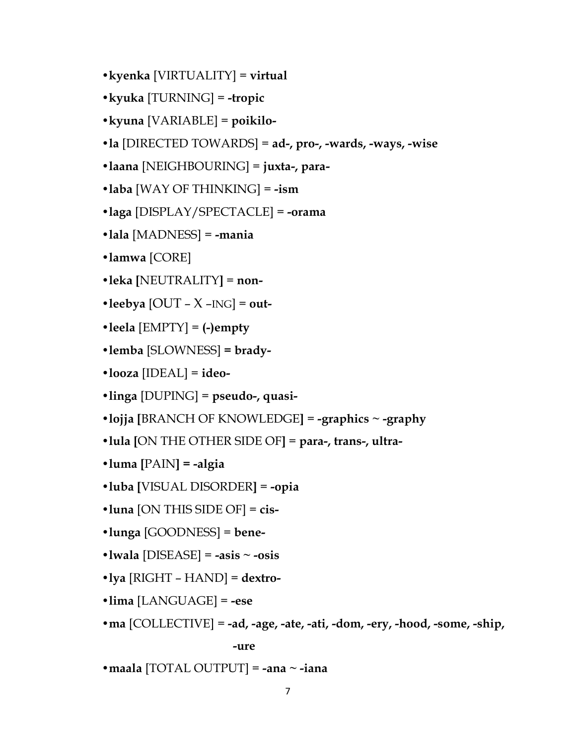- **•kyenka** [VIRTUALITY] = **virtual**
- **•kyuka** [TURNING] = **-tropic**
- **•kyuna** [VARIABLE] = **poikilo-**
- **•la** [DIRECTED TOWARDS] = **ad-, pro-, -wards, -ways, -wise**
- **•laana** [NEIGHBOURING] = **juxta-, para-**
- **•laba** [WAY OF THINKING] = **-ism**
- **•laga** [DISPLAY/SPECTACLE] = **-orama**
- **•lala** [MADNESS] = **-mania**
- **•lamwa** [CORE]
- **•leka [**NEUTRALITY**]** = **non-**
- $\bullet$ **leebya** [OUT X –ING] = **out-**
- **•leela** [EMPTY] = **(-)empty**
- **•lemba** [SLOWNESS] **= brady-**
- **•looza** [IDEAL] = **ideo-**
- **•linga** [DUPING] = **pseudo-, quasi-**
- **•lojja [**BRANCH OF KNOWLEDGE**]** = **-graphics ~ -graphy**
- **•lula [**ON THE OTHER SIDE OF**]** = **para-, trans-, ultra-**
- **•luma [**PAIN**] = -algia**
- **•luba [**VISUAL DISORDER**]** = **-opia**
- **•luna** [ON THIS SIDE OF] = **cis-**
- **•lunga** [GOODNESS] = **bene-**
- **•lwala** [DISEASE] = **-asis ~ -osis**
- **•lya** [RIGHT HAND] = **dextro-**
- **•lima** [LANGUAGE] = **-ese**
- **•ma** [COLLECTIVE] = **-ad, -age, -ate, -ati, -dom, -ery, -hood, -some, -ship,**

 **-ure**

**•maala** [TOTAL OUTPUT] = **-ana ~ -iana**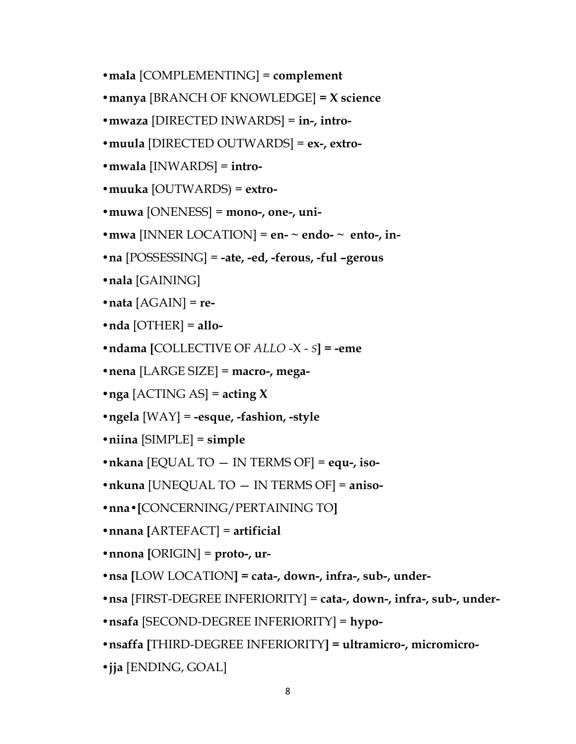- **•mala** [COMPLEMENTING] = **complement**
- **•manya** [BRANCH OF KNOWLEDGE] **= X science**
- **•mwaza** [DIRECTED INWARDS] = **in-, intro-**
- **•muula** [DIRECTED OUTWARDS] = **ex-, extro-**
- **•mwala** [INWARDS] = **intro-**
- **•muuka** [OUTWARDS) = **extro-**
- **•muwa** [ONENESS] = **mono-, one-, uni-**
- mwa [INNER LOCATION] =  $en$   $\sim$  endo- $\sim$  ento-, in-
- **•na** [POSSESSING] = **-ate, -ed, -ferous, -ful –gerous**
- **•nala** [GAINING]
- **•nata** [AGAIN] = **re-**
- **•nda** [OTHER] = **allo-**
- **•ndama [**COLLECTIVE OF *ALLO* -X *S***] = -eme**
- **•nena** [LARGE SIZE] = **macro-, mega-**
- **•nga** [ACTING AS] = **acting X**
- **•ngela** [WAY] = **-esque, -fashion, -style**
- **•niina** [SIMPLE] = **simple**
- **•nkana** [EQUAL TO IN TERMS OF] = **equ-, iso-**
- **•nkuna** [UNEQUAL TO IN TERMS OF] = **aniso-**
- **•nna•[**CONCERNING/PERTAINING TO**]**
- **•nnana [**ARTEFACT] = **artificial**
- **•nnona [**ORIGIN] = **proto-, ur-**
- **•nsa [**LOW LOCATION**] = cata-, down-, infra-, sub-, under-**
- **•nsa** [FIRST-DEGREE INFERIORITY] = **cata-, down-, infra-, sub-, under-**
- **•nsafa** [SECOND-DEGREE INFERIORITY] = **hypo-**
- **•nsaffa [**THIRD-DEGREE INFERIORITY**] = ultramicro-, micromicro-**
- **•jja** [ENDING, GOAL]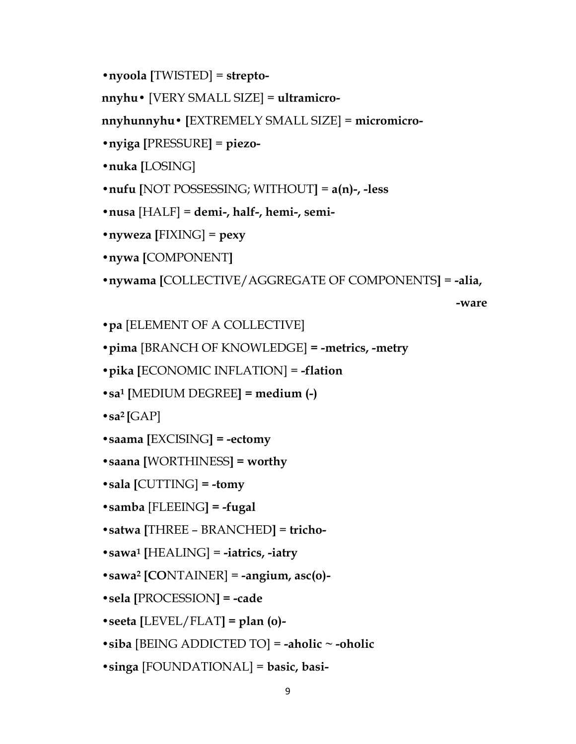```
•nyoola [TWISTED] = strepto-
```
**nnyhu•** [VERY SMALL SIZE] = **ultramicro-**

**nnyhunnyhu• [**EXTREMELY SMALL SIZE] = **micromicro-**

```
•nyiga [PRESSURE] = piezo-
```
**•nuka [**LOSING]

```
•nufu [NOT POSSESSING; WITHOUT] = a(n)-, -less
```

```
•nusa [HALF] = demi-, half-, hemi-, semi-
```

```
•nyweza [FIXING] = pexy
```
**•nywa [**COMPONENT**]**

```
•nywama [COLLECTIVE/AGGREGATE OF COMPONENTS] = -alia,
```

```
 -ware
```

```
•pa [ELEMENT OF A COLLECTIVE]
```

```
•pima [BRANCH OF KNOWLEDGE] = -metrics, -metry
```

```
•pika [ECONOMIC INFLATION] = -flation
```

```
•sa1 [MEDIUM DEGREE] = medium (-)
```

```
\cdotsa<sup>2</sup> [GAP]
```

```
•saama [EXCISING] = -ectomy
```

```
•saana [WORTHINESS] = worthy
```

```
•sala [CUTTING] = -tomy
```

```
•samba [FLEEING] = -fugal
```
**•satwa [**THREE – BRANCHED**]** = **tricho-**

**•sawa<sup>1</sup> [**HEALING] = **-iatrics, -iatry**

```
•sawa2 [CONTAINER] = -angium, asc(o)-
```

```
•sela [PROCESSION] = -cade
```

```
•seeta [LEVEL/FLAT] = plan (o)-
```
- **•siba** [BEING ADDICTED TO] = **-aholic ~ -oholic**
- **•singa** [FOUNDATIONAL] = **basic, basi-**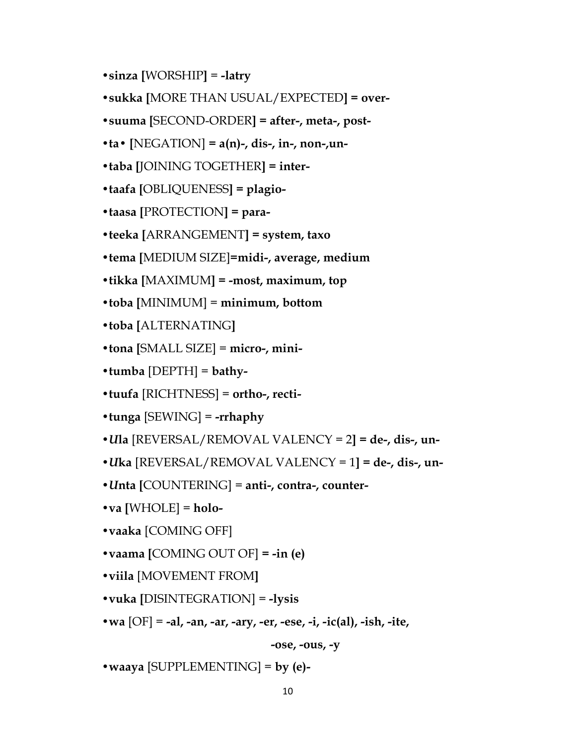- **•sinza [**WORSHIP**]** = **-latry**
- **•sukka [**MORE THAN USUAL/EXPECTED**] = over-**
- **•suuma [**SECOND-ORDER**] = after-, meta-, post-**
- $\bullet$  ta $\bullet$  [NEGATION] = a(n)-, dis-, in-, non-, un-
- **•taba [**JOINING TOGETHER**] = inter-**
- **•taafa [**OBLIQUENESS**] = plagio-**
- **•taasa [**PROTECTION**] = para-**
- **•teeka [**ARRANGEMENT**] = system, taxo**
- **•tema [**MEDIUM SIZE]**=midi-, average, medium**
- **•tikka [**MAXIMUM**] = -most, maximum, top**
- **•toba [**MINIMUM] = **minimum, bottom**
- **•toba [**ALTERNATING**]**
- **•tona [**SMALL SIZE] = **micro-, mini-**
- **•tumba** [DEPTH] = **bathy-**
- **•tuufa** [RICHTNESS] = **ortho-, recti-**
- **•tunga** [SEWING] = **-rrhaphy**
- **•***U***la** [REVERSAL/REMOVAL VALENCY = 2**] = de-, dis-, un-**
- **•***U***ka** [REVERSAL/REMOVAL VALENCY = 1**] = de-, dis-, un-**
- **•***U***nta [**COUNTERING] = **anti-, contra-, counter-**
- **•va [**WHOLE] = **holo-**
- **•vaaka** [COMING OFF]
- **•vaama [**COMING OUT OF] **= -in (e)**
- **•viila** [MOVEMENT FROM**]**
- **•vuka [**DISINTEGRATION] = **-lysis**
- **•wa** [OF] = **-al, -an, -ar, -ary, -er, -ese, -i, -ic(al), -ish, -ite,**

**-ose, -ous, -y** 

**•waaya** [SUPPLEMENTING] = **by (e)-**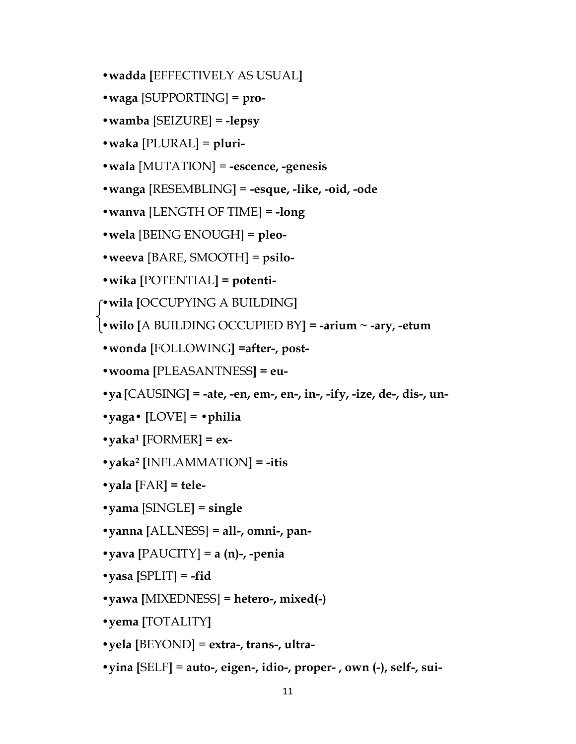- **•wadda [**EFFECTIVELY AS USUAL**]**
- **•waga** [SUPPORTING] = **pro-**
- **•wamba** [SEIZURE] = **-lepsy**
- **•waka** [PLURAL] = **pluri-**
- **•wala** [MUTATION] = **-escence, -genesis**
- **•wanga** [RESEMBLING**]** = **-esque, -like, -oid, -ode**
- **•wanva** [LENGTH OF TIME] = **-long**
- **•wela** [BEING ENOUGH] = **pleo-**
- **•weeva** [BARE, SMOOTH] = **psilo-**
- **•wika [**POTENTIAL**] = potenti-**

**•wila [**OCCUPYING A BUILDING**]**

**•wilo [**A BUILDING OCCUPIED BY**] = -arium ~ -ary, -etum**

- **•wonda [**FOLLOWING**] =after-, post-**
- **•wooma [**PLEASANTNESS**] = eu-**
- **•ya [**CAUSING**] = -ate, -en, em-, en-, in-, -ify, -ize, de-, dis-, un-**
- **•yaga• [**LOVE] = **•philia**
- **•yaka<sup>1</sup> [**FORMER**] = ex-**
- **•yaka<sup>2</sup> [**INFLAMMATION] **= -itis**
- **•yala [**FAR**] = tele-**
- **•yama** [SINGLE**]** = **single**
- **•yanna [**ALLNESS] = **all-, omni-, pan-**
- $\bullet$ yava [PAUCITY] = a (n)-, -penia
- $\bullet$ yasa [SPLIT] = -fid
- **•yawa [**MIXEDNESS] = **hetero-, mixed(-)**
- **•yema [**TOTALITY**]**
- **•yela [**BEYOND] = **extra-, trans-, ultra-**
- **•yina [**SELF**]** = **auto-, eigen-, idio-, proper- , own (-), self-, sui-**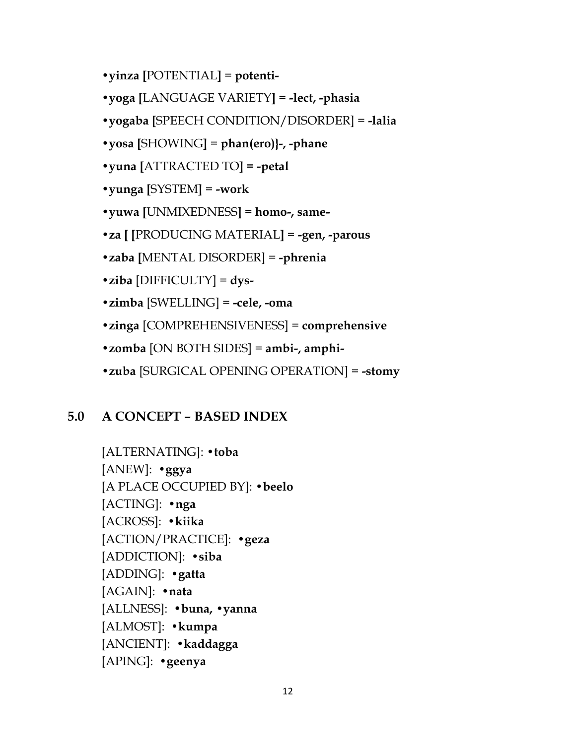- **•yinza [**POTENTIAL**]** = **potenti-**
- **•yoga [**LANGUAGE VARIETY**]** = **-lect, -phasia**
- **•yogaba [**SPEECH CONDITION/DISORDER] = **-lalia**
- **•yosa [**SHOWING**]** = **phan(ero)}-, -phane**
- **•yuna [**ATTRACTED TO**] = -petal**
- **•yunga [**SYSTEM**]** = **-work**
- **•yuwa [**UNMIXEDNESS**]** = **homo-, same-**
- **•za [ [**PRODUCING MATERIAL**]** = **-gen, -parous**
- **•zaba [**MENTAL DISORDER] = **-phrenia**
- **•ziba** [DIFFICULTY] = **dys-**
- **•zimba** [SWELLING] = **-cele, -oma**
- **•zinga** [COMPREHENSIVENESS] = **comprehensive**
- **•zomba** [ON BOTH SIDES] = **ambi-, amphi-**
- **•zuba** [SURGICAL OPENING OPERATION] = **-stomy**

## **5.0 A CONCEPT – BASED INDEX**

[ALTERNATING]: **•toba** [ANEW]: **•ggya** [A PLACE OCCUPIED BY]: **•beelo** [ACTING]: **•nga** [ACROSS]: **•kiika** [ACTION/PRACTICE]: **•geza** [ADDICTION]: **•siba** [ADDING]: **•gatta** [AGAIN]: **•nata** [ALLNESS]: •**buna, •yanna** [ALMOST]: **•kumpa** [ANCIENT]: **•kaddagga** [APING]: **•geenya**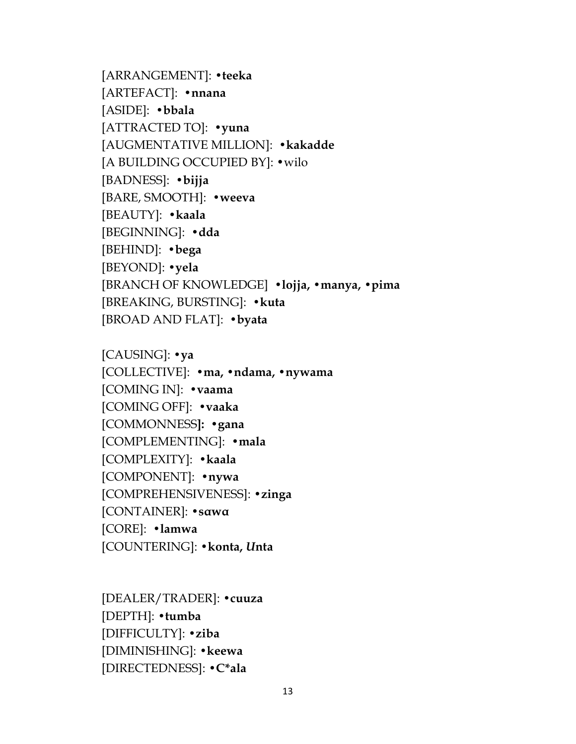[ARRANGEMENT]: **•teeka** [ARTEFACT]: **•nnana** [ASIDE]: **•bbala** [ATTRACTED TO]: **•yuna** [AUGMENTATIVE MILLION]: **•kakadde** [A BUILDING OCCUPIED BY]: •wilo [BADNESS]: **•bijja** [BARE, SMOOTH]: **•weeva** [BEAUTY]: **•kaala** [BEGINNING]: **•dda** [BEHIND]: **•bega** [BEYOND]: **•yela** [BRANCH OF KNOWLEDGE] **•lojja, •manya, •pima** [BREAKING, BURSTING]: **•kuta** [BROAD AND FLAT]: **•byata**

[CAUSING]: **•ya** [COLLECTIVE]: **•ma, •ndama, •nywama** [COMING IN]: **•vaama** [COMING OFF]: **•vaaka** [COMMONNESS**]: •gana** [COMPLEMENTING]: **•mala** [COMPLEXITY]: **•kaala** [COMPONENT]: **•nywa** [COMPREHENSIVENESS]: **•zinga** [CONTAINER]: **•sαwα** [CORE]: **•lamwa** [COUNTERING]: **•konta,** *U***nta**

[DEALER/TRADER]: **•cuuza** [DEPTH]: **•tumba** [DIFFICULTY]: **•ziba** [DIMINISHING]: **•keewa** [DIRECTEDNESS]: **•C\*ala**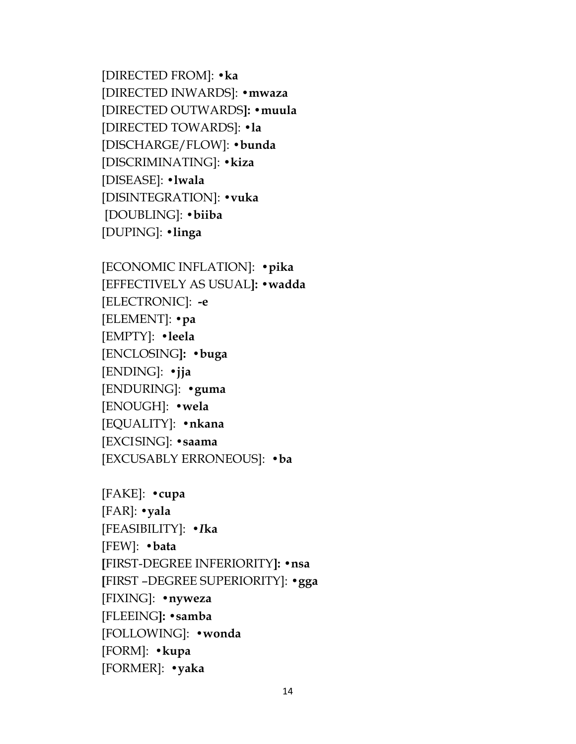[DIRECTED FROM]: **•ka** [DIRECTED INWARDS]: **•mwaza** [DIRECTED OUTWARDS**]: •muula** [DIRECTED TOWARDS]: **•la** [DISCHARGE/FLOW]: **•bunda** [DISCRIMINATING]: **•kiza** [DISEASE]: **•lwala** [DISINTEGRATION]: **•vuka** [DOUBLING]: **•biiba** [DUPING]: **•linga**

[ECONOMIC INFLATION]: **•pika** [EFFECTIVELY AS USUAL**]: •wadda** [ELECTRONIC]: **-e** [ELEMENT]: **•pa** [EMPTY]: **•leela** [ENCLOSING**]: •buga** [ENDING]: **•jja** [ENDURING]: **•guma** [ENOUGH]: **•wela** [EQUALITY]: **•nkana** [EXCISING]: **•saama** [EXCUSABLY ERRONEOUS]: **•ba**

[FAKE]: **•cupa** [FAR]: **•yala** [FEASIBILITY]: **•***I***ka** [FEW]: **•bata [**FIRST-DEGREE INFERIORITY**]: •nsa [**FIRST –DEGREE SUPERIORITY]: **•gga** [FIXING]: **•nyweza** [FLEEING**]: •samba** [FOLLOWING]: **•wonda** [FORM]: **•kupa** [FORMER]: **•yaka**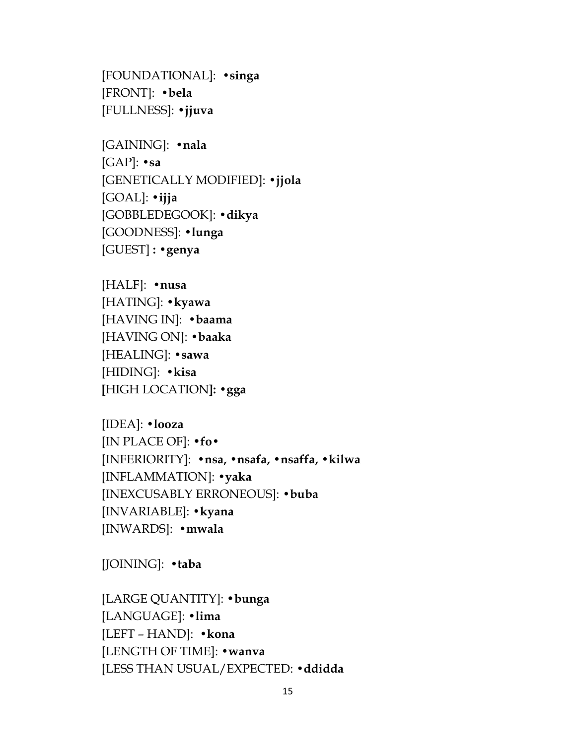[FOUNDATIONAL]: **•singa** [FRONT]: **•bela** [FULLNESS]: **•jjuva**

[GAINING]: **•nala** [GAP]: *•***sa** [GENETICALLY MODIFIED]: **•jjola** [GOAL]: **•ijja** [GOBBLEDEGOOK]: **•dikya** [GOODNESS]: **•lunga** [GUEST] **: •genya**

[HALF]: **•nusa** [HATING]: **•kyawa** [HAVING IN]: **•baama** [HAVING ON]: **•baaka** [HEALING]: **•sawa** [HIDING]: **•kisa [**HIGH LOCATION**]: •gga**

[IDEA]: **•looza** [IN PLACE OF]: •**fo•** [INFERIORITY]: **•nsa, •nsafa, •nsaffa, •kilwa** [INFLAMMATION]: **•yaka** [INEXCUSABLY ERRONEOUS]: **•buba** [INVARIABLE]: **•kyana** [INWARDS]: **•mwala**

[JOINING]: **•taba**

[LARGE QUANTITY]: •**bunga** [LANGUAGE]: **•lima** [LEFT – HAND]: **•kona** [LENGTH OF TIME]: **•wanva** [LESS THAN USUAL/EXPECTED: **•ddidda**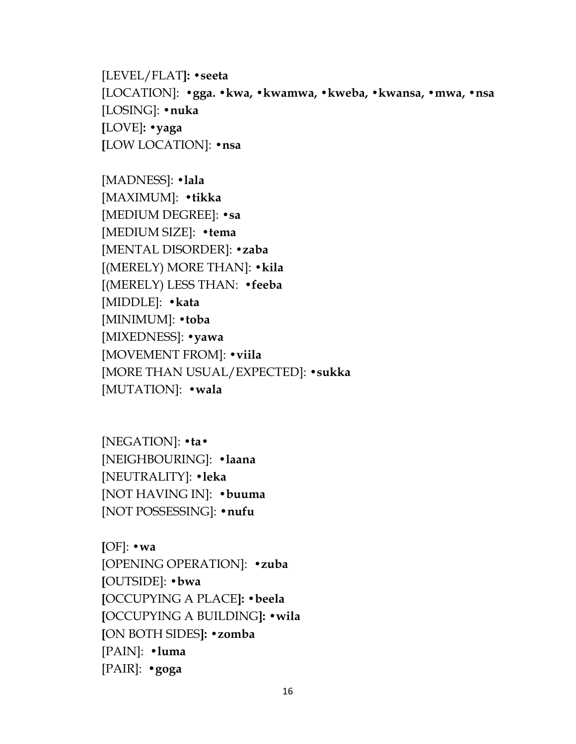[LEVEL/FLAT**]: •seeta** [LOCATION]: **•gga. •kwa, •kwamwa, •kweba, •kwansa, •mwa, •nsa** [LOSING]: **•nuka [**LOVE]**: •yaga [**LOW LOCATION]: **•nsa**

[MADNESS]: **•lala** [MAXIMUM]: •**tikka** [MEDIUM DEGREE]: **•sa** [MEDIUM SIZE]: **•tema** [MENTAL DISORDER]: **•zaba** [(MERELY) MORE THAN]: **•kila** [(MERELY) LESS THAN: **•feeba** [MIDDLE]: **•kata** [MINIMUM]: **•toba** [MIXEDNESS]: **•yawa** [MOVEMENT FROM]: **•viila** [MORE THAN USUAL/EXPECTED]: **•sukka** [MUTATION]: **•wala**

[NEGATION]: **•ta•** [NEIGHBOURING]: **•laana** [NEUTRALITY]: **•leka** [NOT HAVING IN]: **•buuma** [NOT POSSESSING]: •**nufu**

**[**OF]: **•wa** [OPENING OPERATION]: **•zuba [**OUTSIDE]: **•bwa [**OCCUPYING A PLACE**]: •beela [**OCCUPYING A BUILDING**]: •wila [**ON BOTH SIDES**]: •zomba** [PAIN]: •**luma** [PAIR]: •**goga**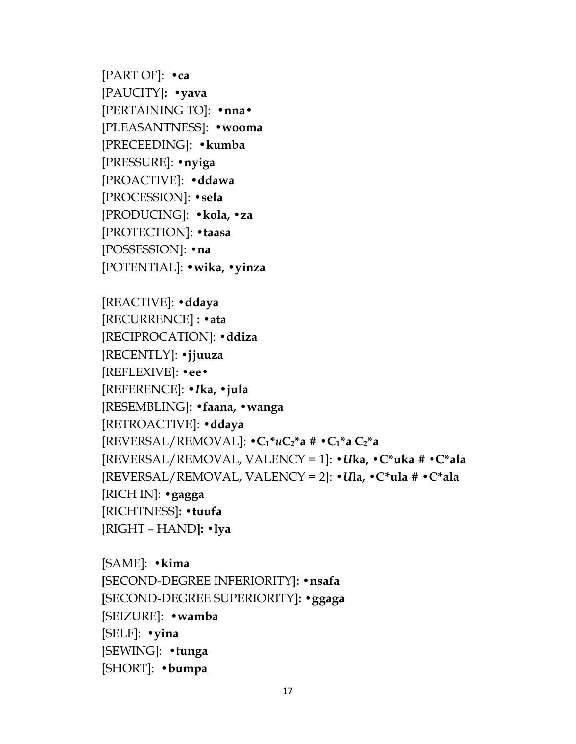[PART OF]: •**ca** [PAUCITY]**: •yava** [PERTAINING TO]: •**nna•** [PLEASANTNESS]: **•wooma** [PRECEEDING]: •**kumba** [PRESSURE]: **•nyiga** [PROACTIVE]: **•ddawa** [PROCESSION]: **•sela** [PRODUCING]: •**kola, •za** [PROTECTION]: **•taasa** [POSSESSION]: **•na** [POTENTIAL]: •**wika, •yinza**

```
[REACTIVE]: •ddaya
[RECURRENCE] : •ata
[RECIPROCATION]: •ddiza
[RECENTLY]: •jjuuza
[REFLEXIVE]: •ee•
[REFERENCE]: •Ika, •jula
[RESEMBLING]: •faana, •wanga
[RETROACTIVE]: •ddaya
[REVERSAL/REMOVAL]: •C1*uC2*a # •C1*a C2*a
[REVERSAL/REMOVAL, VALENCY = 1]: •Uka, •C*uka # •C*ala
[REVERSAL/REMOVAL, VALENCY = 2]: •Ula, •C*ula # •C*ala
[RICH IN]: •gagga
[RICHTNESS]: •tuufa 
[RIGHT – HAND]: •lya
```
[SAME]: **•kima [**SECOND-DEGREE INFERIORITY**]: •nsafa [**SECOND-DEGREE SUPERIORITY**]: •ggaga** [SEIZURE]: **•wamba** [SELF]: **•yina** [SEWING]: **•tunga** [SHORT]: **•bumpa**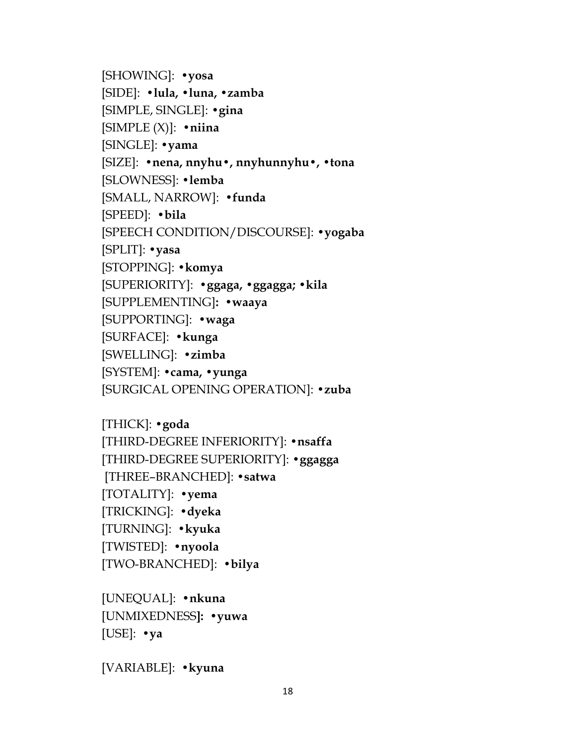[SHOWING]: **•yosa** [SIDE]: **•lula, •luna, •zamba** [SIMPLE, SINGLE]: **•gina** [SIMPLE (X)]: **•niina** [SINGLE]: **•yama** [SIZE]: **•nena, nnyhu•, nnyhunnyhu•, •tona** [SLOWNESS]: **•lemba** [SMALL, NARROW]: **•funda** [SPEED]: **•bila** [SPEECH CONDITION/DISCOURSE]: **•yogaba** [SPLIT]: **•yasa** [STOPPING]: **•komya** [SUPERIORITY]: **•ggaga, •ggagga; •kila** [SUPPLEMENTING]**: •waaya** [SUPPORTING]: **•waga** [SURFACE]: **•kunga** [SWELLING]: **•zimba** [SYSTEM]: **•cama, •yunga** [SURGICAL OPENING OPERATION]: **•zuba**

[THICK]: **•goda** [THIRD-DEGREE INFERIORITY]: **•nsaffa** [THIRD-DEGREE SUPERIORITY]: **•ggagga** [THREE–BRANCHED]: **•satwa** [TOTALITY]: **•yema** [TRICKING]: **•dyeka** [TURNING]: **•kyuka** [TWISTED]: **•nyoola** [TWO-BRANCHED]: **•bilya**

[UNEQUAL]: **•nkuna** [UNMIXEDNESS**]: •yuwa** [USE]: **•ya**

[VARIABLE]: **•kyuna**